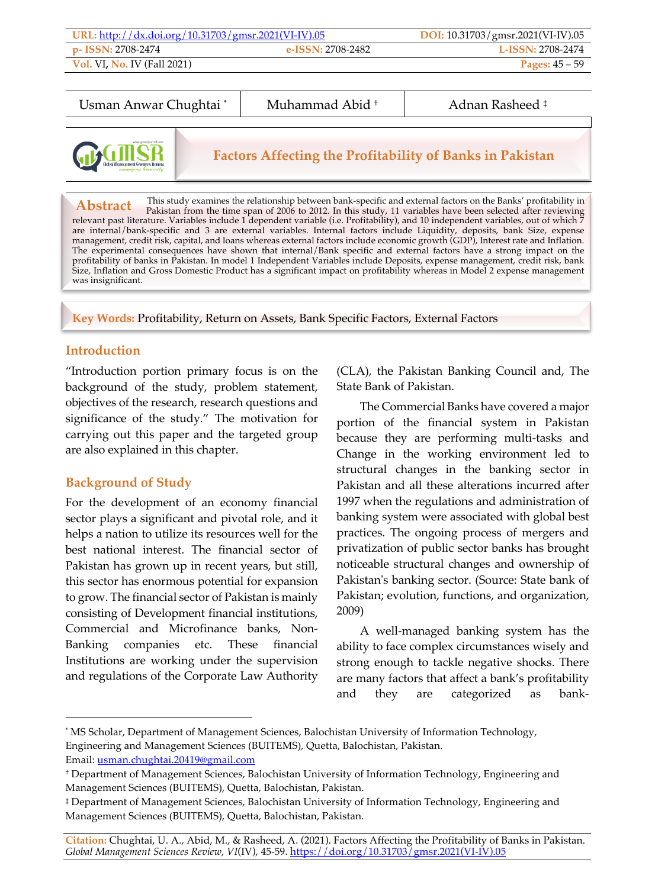| URL: http://dx.doi.org/10.31703/gmsr.2021(VI-IV).05 |                   | DOI: $10.31703$ /gmsr.2021(VI-IV).05 |
|-----------------------------------------------------|-------------------|--------------------------------------|
| <b>p- ISSN:</b> 2708-2474                           | e-ISSN: 2708-2482 | <b>L-ISSN: 2708-2474</b>             |
| <b>Vol. VI, No. IV (Fall 2021)</b>                  |                   | <b>Pages:</b> $45 - 59$              |

Usman Anwar Chughtai \* | Muhammad Abid + | Adnan Rasheed ‡



**Factors Affecting the Profitability of Banks in Pakistan**

This study examines the relationship between bank-specific and external factors on the Banks' profitability in **EXIMPLE TREE SET PARE SET PARE SET PARE SET PARE SET PARE SET PARE SET PARE SET PARE SET PARE SET PARE SET PARE SET PARE SET PARE SET PARE SET PARE SET PARE SET PARE SET PARE SET PARE SET PARE SET PARE SET PARE SET PARE S** are internal/bank-specific and 3 are external variables. Internal factors include Liquidity, deposits, bank Size, expense<br>management, credit risk, capital, and loans whereas external factors include economic growth (GDP), The experimental consequences have shown that internal/Bank specific and external factors have a strong impact on the profitability of banks in Pakistan. In model 1 Independent Variables include Deposits, expense management, credit risk, bank<br>Size, Inflation and Gross Domestic Product has a significant impact on profitability whereas in M was insignificant. **Abstract**

**Key Words:** Profitability, Return on Assets, Bank Specific Factors, External Factors

### **Introduction**

j

"Introduction portion primary focus is on the background of the study, problem statement, objectives of the research, research questions and significance of the study." The motivation for carrying out this paper and the targeted group are also explained in this chapter.

## **Background of Study**

For the development of an economy financial sector plays a significant and pivotal role, and it helps a nation to utilize its resources well for the best national interest. The financial sector of Pakistan has grown up in recent years, but still, this sector has enormous potential for expansion to grow. The financial sector of Pakistan is mainly consisting of Development financial institutions, Commercial and Microfinance banks, Non-Banking companies etc. These financial Institutions are working under the supervision and regulations of the Corporate Law Authority (CLA), the Pakistan Banking Council and, The State Bank of Pakistan.

The Commercial Banks have covered a major portion of the financial system in Pakistan because they are performing multi-tasks and Change in the working environment led to structural changes in the banking sector in Pakistan and all these alterations incurred after 1997 when the regulations and administration of banking system were associated with global best practices. The ongoing process of mergers and privatization of public sector banks has brought noticeable structural changes and ownership of Pakistan's banking sector. (Source: State bank of Pakistan; evolution, functions, and organization, 2009)

A well-managed banking system has the ability to face complex circumstances wisely and strong enough to tackle negative shocks. There are many factors that affect a bank's profitability and they are categorized as bank-

**Citation:** Chughtai, U. A., Abid, M., & Rasheed, A. (2021). Factors Affecting the Profitability of Banks in Pakistan. *Global Management Sciences Review*, *VI*(IV), 45-59. https://doi.org/10.31703/gmsr.2021(VI-IV).05

<sup>\*</sup> MS Scholar, Department of Management Sciences, Balochistan University of Information Technology, Engineering and Management Sciences (BUITEMS), Quetta, Balochistan, Pakistan. Email: usman.chughtai.20419@gmail.com

<sup>†</sup> Department of Management Sciences, Balochistan University of Information Technology, Engineering and Management Sciences (BUITEMS), Quetta, Balochistan, Pakistan.

<sup>‡</sup> Department of Management Sciences, Balochistan University of Information Technology, Engineering and Management Sciences (BUITEMS), Quetta, Balochistan, Pakistan.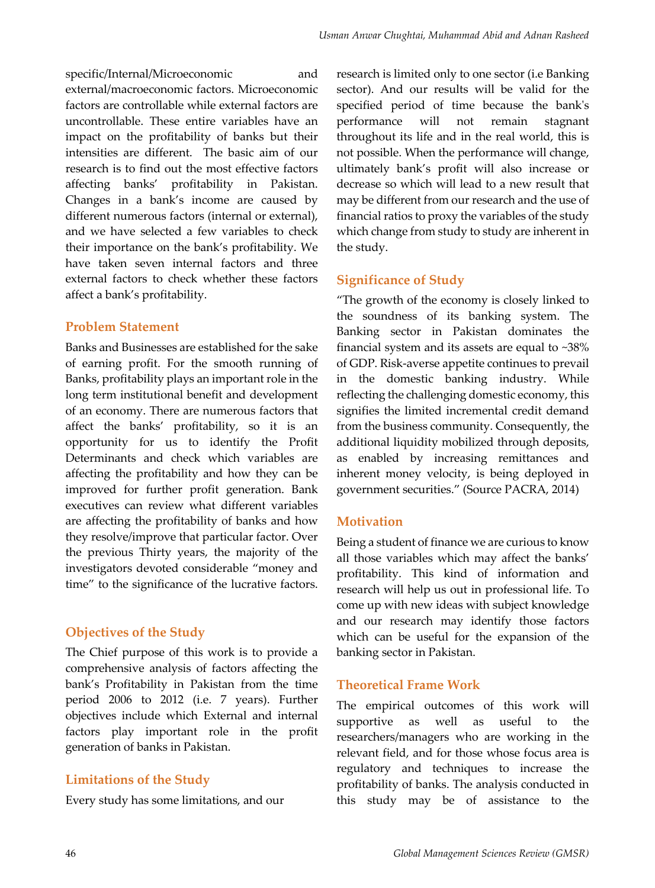specific/Internal/Microeconomic and external/macroeconomic factors. Microeconomic factors are controllable while external factors are uncontrollable. These entire variables have an impact on the profitability of banks but their intensities are different. The basic aim of our research is to find out the most effective factors affecting banks' profitability in Pakistan. Changes in a bank's income are caused by different numerous factors (internal or external), and we have selected a few variables to check their importance on the bank's profitability. We have taken seven internal factors and three external factors to check whether these factors affect a bank's profitability.

#### **Problem Statement**

Banks and Businesses are established for the sake of earning profit. For the smooth running of Banks, profitability plays an important role in the long term institutional benefit and development of an economy. There are numerous factors that affect the banks' profitability, so it is an opportunity for us to identify the Profit Determinants and check which variables are affecting the profitability and how they can be improved for further profit generation. Bank executives can review what different variables are affecting the profitability of banks and how they resolve/improve that particular factor. Over the previous Thirty years, the majority of the investigators devoted considerable "money and time" to the significance of the lucrative factors.

## **Objectives of the Study**

The Chief purpose of this work is to provide a comprehensive analysis of factors affecting the bank's Profitability in Pakistan from the time period 2006 to 2012 (i.e. 7 years). Further objectives include which External and internal factors play important role in the profit generation of banks in Pakistan.

## **Limitations of the Study**

Every study has some limitations, and our

research is limited only to one sector (i.e Banking sector). And our results will be valid for the specified period of time because the bank's performance will not remain stagnant throughout its life and in the real world, this is not possible. When the performance will change, ultimately bank's profit will also increase or decrease so which will lead to a new result that may be different from our research and the use of financial ratios to proxy the variables of the study which change from study to study are inherent in the study.

## **Significance of Study**

"The growth of the economy is closely linked to the soundness of its banking system. The Banking sector in Pakistan dominates the financial system and its assets are equal to ~38% of GDP. Risk-averse appetite continues to prevail in the domestic banking industry. While reflecting the challenging domestic economy, this signifies the limited incremental credit demand from the business community. Consequently, the additional liquidity mobilized through deposits, as enabled by increasing remittances and inherent money velocity, is being deployed in government securities." (Source PACRA, 2014)

## **Motivation**

Being a student of finance we are curious to know all those variables which may affect the banks' profitability. This kind of information and research will help us out in professional life. To come up with new ideas with subject knowledge and our research may identify those factors which can be useful for the expansion of the banking sector in Pakistan.

## **Theoretical Frame Work**

The empirical outcomes of this work will supportive as well as useful to the researchers/managers who are working in the relevant field, and for those whose focus area is regulatory and techniques to increase the profitability of banks. The analysis conducted in this study may be of assistance to the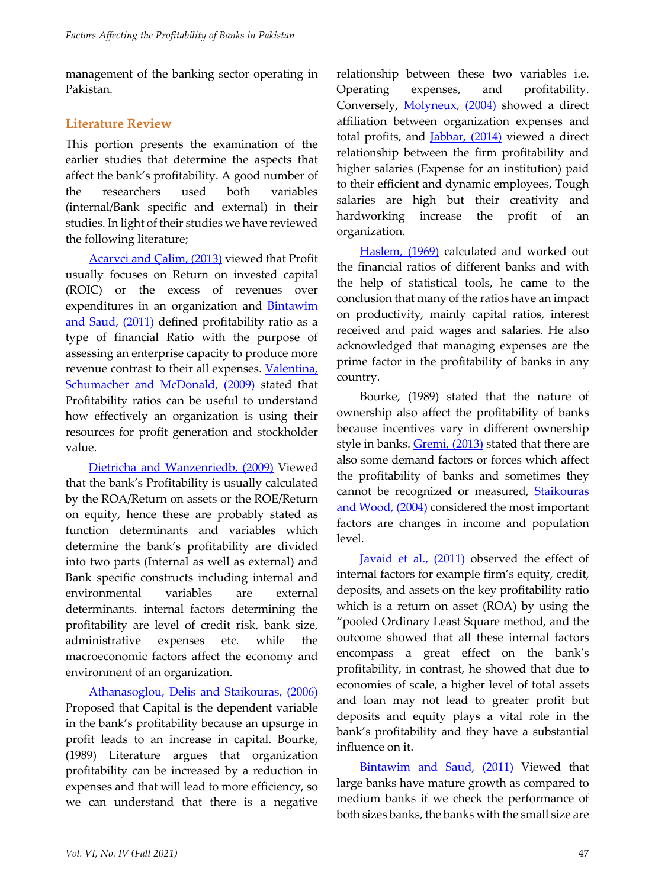management of the banking sector operating in Pakistan.

### **Literature Review**

This portion presents the examination of the earlier studies that determine the aspects that affect the bank's profitability. A good number of the researchers used both variables (internal/Bank specific and external) in their studies. In light of their studies we have reviewed the following literature;

Acarvci and Çalim, (2013) viewed that Profit usually focuses on Return on invested capital (ROIC) or the excess of revenues over expenditures in an organization and Bintawim and Saud, (2011) defined profitability ratio as a type of financial Ratio with the purpose of assessing an enterprise capacity to produce more revenue contrast to their all expenses. Valentina, Schumacher and McDonald, (2009) stated that Profitability ratios can be useful to understand how effectively an organization is using their resources for profit generation and stockholder value.

Dietricha and Wanzenriedb, (2009) Viewed that the bank's Profitability is usually calculated by the ROA/Return on assets or the ROE/Return on equity, hence these are probably stated as function determinants and variables which determine the bank's profitability are divided into two parts (Internal as well as external) and Bank specific constructs including internal and environmental variables are external determinants. internal factors determining the profitability are level of credit risk, bank size, administrative expenses etc. while the macroeconomic factors affect the economy and environment of an organization.

Athanasoglou, Delis and Staikouras, (2006) Proposed that Capital is the dependent variable in the bank's profitability because an upsurge in profit leads to an increase in capital. Bourke, (1989) Literature argues that organization profitability can be increased by a reduction in expenses and that will lead to more efficiency, so we can understand that there is a negative

relationship between these two variables i.e. Operating expenses, and profitability. Conversely, Molyneux, (2004) showed a direct affiliation between organization expenses and total profits, and *Jabbar*, (2014) viewed a direct relationship between the firm profitability and higher salaries (Expense for an institution) paid to their efficient and dynamic employees, Tough salaries are high but their creativity and hardworking increase the profit of an organization.

Haslem, (1969) calculated and worked out the financial ratios of different banks and with the help of statistical tools, he came to the conclusion that many of the ratios have an impact on productivity, mainly capital ratios, interest received and paid wages and salaries. He also acknowledged that managing expenses are the prime factor in the profitability of banks in any country.

Bourke, (1989) stated that the nature of ownership also affect the profitability of banks because incentives vary in different ownership style in banks. Gremi, (2013) stated that there are also some demand factors or forces which affect the profitability of banks and sometimes they cannot be recognized or measured, Staikouras and Wood, (2004) considered the most important factors are changes in income and population level.

Javaid et al., (2011) observed the effect of internal factors for example firm's equity, credit, deposits, and assets on the key profitability ratio which is a return on asset (ROA) by using the "pooled Ordinary Least Square method, and the outcome showed that all these internal factors encompass a great effect on the bank's profitability, in contrast, he showed that due to economies of scale, a higher level of total assets and loan may not lead to greater profit but deposits and equity plays a vital role in the bank's profitability and they have a substantial influence on it.

Bintawim and Saud, (2011) Viewed that large banks have mature growth as compared to medium banks if we check the performance of both sizes banks, the banks with the small size are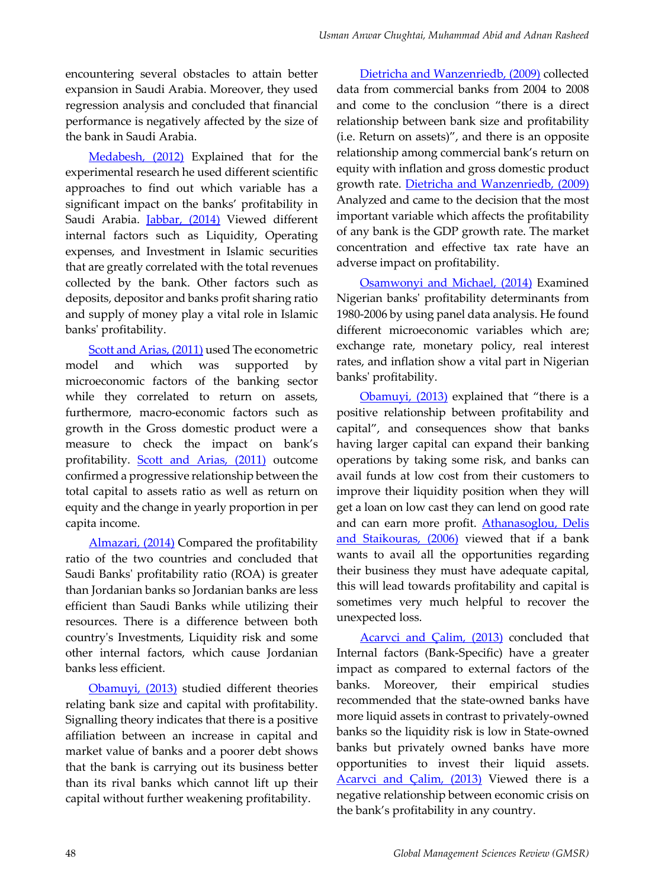encountering several obstacles to attain better expansion in Saudi Arabia. Moreover, they used regression analysis and concluded that financial performance is negatively affected by the size of the bank in Saudi Arabia.

Medabesh, (2012) Explained that for the experimental research he used different scientific approaches to find out which variable has a significant impact on the banks' profitability in Saudi Arabia. Jabbar, (2014) Viewed different internal factors such as Liquidity, Operating expenses, and Investment in Islamic securities that are greatly correlated with the total revenues collected by the bank. Other factors such as deposits, depositor and banks profit sharing ratio and supply of money play a vital role in Islamic banks' profitability.

Scott and Arias, (2011) used The econometric model and which was supported by microeconomic factors of the banking sector while they correlated to return on assets, furthermore, macro-economic factors such as growth in the Gross domestic product were a measure to check the impact on bank's profitability. Scott and Arias, (2011) outcome confirmed a progressive relationship between the total capital to assets ratio as well as return on equity and the change in yearly proportion in per capita income.

Almazari, (2014) Compared the profitability ratio of the two countries and concluded that Saudi Banks' profitability ratio (ROA) is greater than Jordanian banks so Jordanian banks are less efficient than Saudi Banks while utilizing their resources. There is a difference between both country's Investments, Liquidity risk and some other internal factors, which cause Jordanian banks less efficient.

Obamuyi, (2013) studied different theories relating bank size and capital with profitability. Signalling theory indicates that there is a positive affiliation between an increase in capital and market value of banks and a poorer debt shows that the bank is carrying out its business better than its rival banks which cannot lift up their capital without further weakening profitability.

Dietricha and Wanzenriedb, (2009) collected data from commercial banks from 2004 to 2008 and come to the conclusion "there is a direct relationship between bank size and profitability (i.e. Return on assets)", and there is an opposite relationship among commercial bank's return on equity with inflation and gross domestic product growth rate. Dietricha and Wanzenriedb, (2009) Analyzed and came to the decision that the most important variable which affects the profitability of any bank is the GDP growth rate. The market concentration and effective tax rate have an adverse impact on profitability.

Osamwonyi and Michael, (2014) Examined Nigerian banks' profitability determinants from 1980-2006 by using panel data analysis. He found different microeconomic variables which are; exchange rate, monetary policy, real interest rates, and inflation show a vital part in Nigerian banks' profitability.

Obamuyi, (2013) explained that "there is a positive relationship between profitability and capital", and consequences show that banks having larger capital can expand their banking operations by taking some risk, and banks can avail funds at low cost from their customers to improve their liquidity position when they will get a loan on low cast they can lend on good rate and can earn more profit. Athanasoglou, Delis and Staikouras, (2006) viewed that if a bank wants to avail all the opportunities regarding their business they must have adequate capital, this will lead towards profitability and capital is sometimes very much helpful to recover the unexpected loss.

Acarvci and Calim, (2013) concluded that Internal factors (Bank-Specific) have a greater impact as compared to external factors of the banks. Moreover, their empirical studies recommended that the state-owned banks have more liquid assets in contrast to privately-owned banks so the liquidity risk is low in State-owned banks but privately owned banks have more opportunities to invest their liquid assets. Acarvci and Çalim, (2013) Viewed there is a negative relationship between economic crisis on the bank's profitability in any country.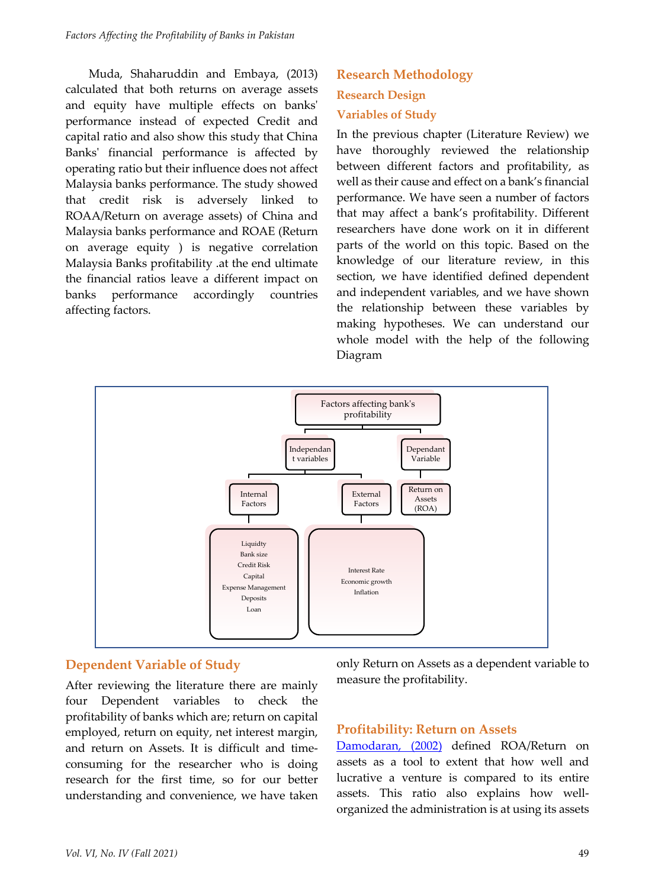Muda, Shaharuddin and Embaya, (2013) calculated that both returns on average assets and equity have multiple effects on banks' performance instead of expected Credit and capital ratio and also show this study that China Banks' financial performance is affected by operating ratio but their influence does not affect Malaysia banks performance. The study showed that credit risk is adversely linked to ROAA/Return on average assets) of China and Malaysia banks performance and ROAE (Return on average equity ) is negative correlation Malaysia Banks profitability .at the end ultimate the financial ratios leave a different impact on banks performance accordingly countries affecting factors.

# **Research Methodology Research Design Variables of Study**

In the previous chapter (Literature Review) we have thoroughly reviewed the relationship between different factors and profitability, as well as their cause and effect on a bank's financial performance. We have seen a number of factors that may affect a bank's profitability. Different researchers have done work on it in different parts of the world on this topic. Based on the knowledge of our literature review, in this section, we have identified defined dependent and independent variables, and we have shown the relationship between these variables by making hypotheses. We can understand our whole model with the help of the following Diagram



## **Dependent Variable of Study**

After reviewing the literature there are mainly four Dependent variables to check the profitability of banks which are; return on capital employed, return on equity, net interest margin, and return on Assets. It is difficult and timeconsuming for the researcher who is doing research for the first time, so for our better understanding and convenience, we have taken only Return on Assets as a dependent variable to measure the profitability.

#### **Profitability: Return on Assets**

Damodaran, (2002) defined ROA/Return on assets as a tool to extent that how well and lucrative a venture is compared to its entire assets. This ratio also explains how wellorganized the administration is at using its assets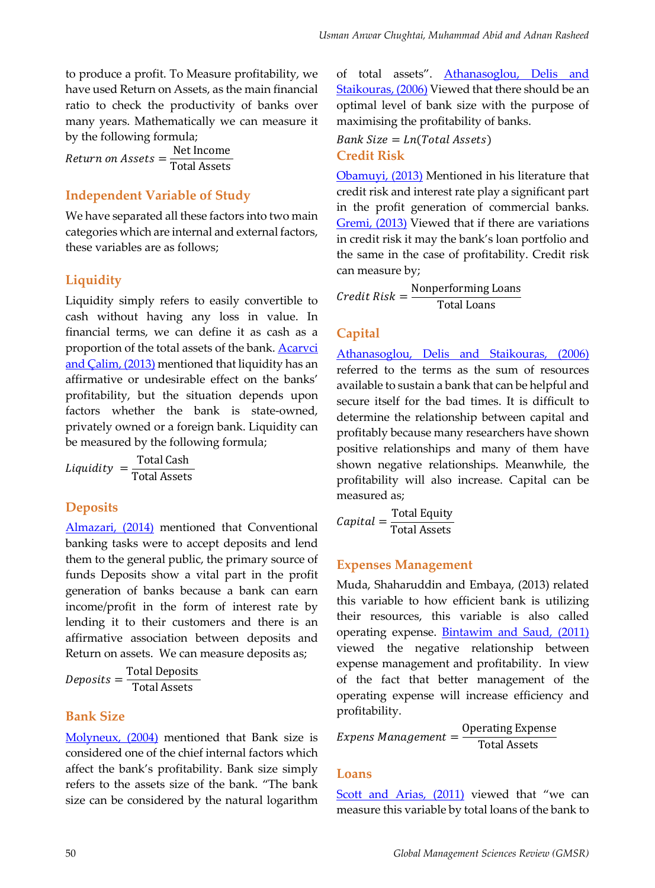to produce a profit. To Measure profitability, we have used Return on Assets, as the main financial ratio to check the productivity of banks over many years. Mathematically we can measure it by the following formula;

 $Return\ on\ Assets = \frac{\rm Net\ Income}{\rm Total\ Assets}$ 

#### **Independent Variable of Study**

We have separated all these factors into two main categories which are internal and external factors, these variables are as follows;

## **Liquidity**

Liquidity simply refers to easily convertible to cash without having any loss in value. In financial terms, we can define it as cash as a proportion of the total assets of the bank. Acarvci and Calim, (2013) mentioned that liquidity has an affirmative or undesirable effect on the banks' profitability, but the situation depends upon factors whether the bank is state-owned, privately owned or a foreign bank. Liquidity can be measured by the following formula;

$$
Liquidity = \frac{\text{Total Cash}}{\text{Total Assets}}
$$

## **Deposits**

Almazari, (2014) mentioned that Conventional banking tasks were to accept deposits and lend them to the general public, the primary source of funds Deposits show a vital part in the profit generation of banks because a bank can earn income/profit in the form of interest rate by lending it to their customers and there is an affirmative association between deposits and Return on assets. We can measure deposits as;

$$
Deposits = \frac{\text{Total Deposits}}{\text{Total Assets}}
$$

#### **Bank Size**

Molyneux, (2004) mentioned that Bank size is considered one of the chief internal factors which affect the bank's profitability. Bank size simply refers to the assets size of the bank. "The bank size can be considered by the natural logarithm of total assets". Athanasoglou, Delis and Staikouras, (2006) Viewed that there should be an optimal level of bank size with the purpose of maximising the profitability of banks.

 $Bank Size = Ln(Total Assets)$ **Credit Risk** 

Obamuyi, (2013) Mentioned in his literature that credit risk and interest rate play a significant part in the profit generation of commercial banks. Gremi, (2013) Viewed that if there are variations in credit risk it may the bank's loan portfolio and the same in the case of profitability. Credit risk can measure by;

 $\textit{Credit Risk} = \frac{\text{Nonperforming Loans}}{\text{Total Loans}}$ 

#### **Capital**

Athanasoglou, Delis and Staikouras, (2006) referred to the terms as the sum of resources available to sustain a bank that can be helpful and secure itself for the bad times. It is difficult to determine the relationship between capital and profitably because many researchers have shown positive relationships and many of them have shown negative relationships. Meanwhile, the profitability will also increase. Capital can be measured as;

 $Capital = \frac{\text{Total Equity}}{\text{Total Assets}}$ 

#### **Expenses Management**

Muda, Shaharuddin and Embaya, (2013) related this variable to how efficient bank is utilizing their resources, this variable is also called operating expense. Bintawim and Saud, (2011) viewed the negative relationship between expense management and profitability. In view of the fact that better management of the operating expense will increase efficiency and profitability.

$$
Express \, Management = \frac{Operating \, Expression}{Total \, Assets}
$$

#### **Loans**

Scott and Arias, (2011) viewed that "we can measure this variable by total loans of the bank to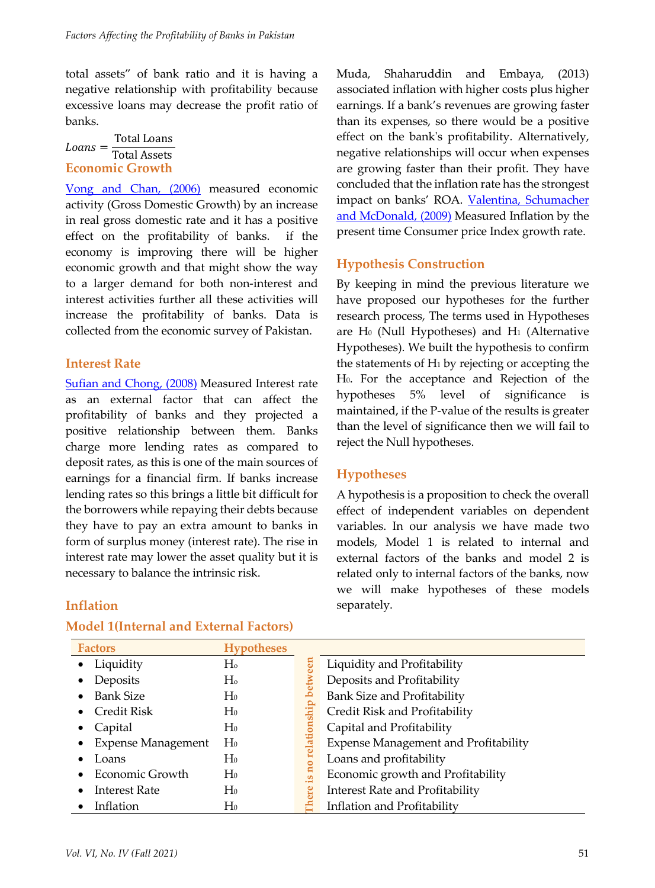total assets" of bank ratio and it is having a negative relationship with profitability because excessive loans may decrease the profit ratio of banks.

 $Loans = \frac{\text{Total Loans}}{\text{Total Assets}}$ **Economic Growth**

Vong and Chan, (2006) measured economic activity (Gross Domestic Growth) by an increase in real gross domestic rate and it has a positive effect on the profitability of banks. if the economy is improving there will be higher economic growth and that might show the way to a larger demand for both non-interest and interest activities further all these activities will increase the profitability of banks. Data is collected from the economic survey of Pakistan.

#### **Interest Rate**

Sufian and Chong, (2008) Measured Interest rate as an external factor that can affect the profitability of banks and they projected a positive relationship between them. Banks charge more lending rates as compared to deposit rates, as this is one of the main sources of earnings for a financial firm. If banks increase lending rates so this brings a little bit difficult for the borrowers while repaying their debts because they have to pay an extra amount to banks in form of surplus money (interest rate). The rise in interest rate may lower the asset quality but it is necessary to balance the intrinsic risk.

Muda, Shaharuddin and Embaya, (2013) associated inflation with higher costs plus higher earnings. If a bank's revenues are growing faster than its expenses, so there would be a positive effect on the bank's profitability. Alternatively, negative relationships will occur when expenses are growing faster than their profit. They have concluded that the inflation rate has the strongest impact on banks' ROA. Valentina, Schumacher and McDonald, (2009) Measured Inflation by the present time Consumer price Index growth rate.

## **Hypothesis Construction**

By keeping in mind the previous literature we have proposed our hypotheses for the further research process, The terms used in Hypotheses are H<sub>0</sub> (Null Hypotheses) and H<sub>1</sub> (Alternative Hypotheses). We built the hypothesis to confirm the statements of H1 by rejecting or accepting the H0. For the acceptance and Rejection of the hypotheses 5% level of significance is maintained, if the P-value of the results is greater than the level of significance then we will fail to reject the Null hypotheses.

#### **Hypotheses**

A hypothesis is a proposition to check the overall effect of independent variables on dependent variables. In our analysis we have made two models, Model 1 is related to internal and external factors of the banks and model 2 is related only to internal factors of the banks, now we will make hypotheses of these models separately.

### **Inflation**

#### **Model 1(Internal and External Factors)**

| <b>Factors</b>                | <b>Hypotheses</b> |                                                                        |
|-------------------------------|-------------------|------------------------------------------------------------------------|
| Liquidity<br>$\bullet$        | $H_0$             | Liquidity and Profitability                                            |
| Deposits                      | Ho                | Deposits and Profitability                                             |
| <b>Bank Size</b><br>$\bullet$ | $H_0$             | Bank Size and Profitability                                            |
| Credit Risk                   | $H_0$             | ship<br>Credit Risk and Profitability                                  |
| Capital                       | $H_0$             | Capital and Profitability<br>ā                                         |
| <b>Expense Management</b>     | $H_0$             | <b>Expense Management and Profitability</b><br>$\overline{\mathbf{a}}$ |
| Loans                         | $H_0$             | Loans and profitability                                                |
| Economic Growth               | $H_0$             | Economic growth and Profitability<br>.പ                                |
| <b>Interest Rate</b>          | $H_0$             | Interest Rate and Profitability<br>ະ                                   |
| Inflation                     | H0                | Inflation and Profitability                                            |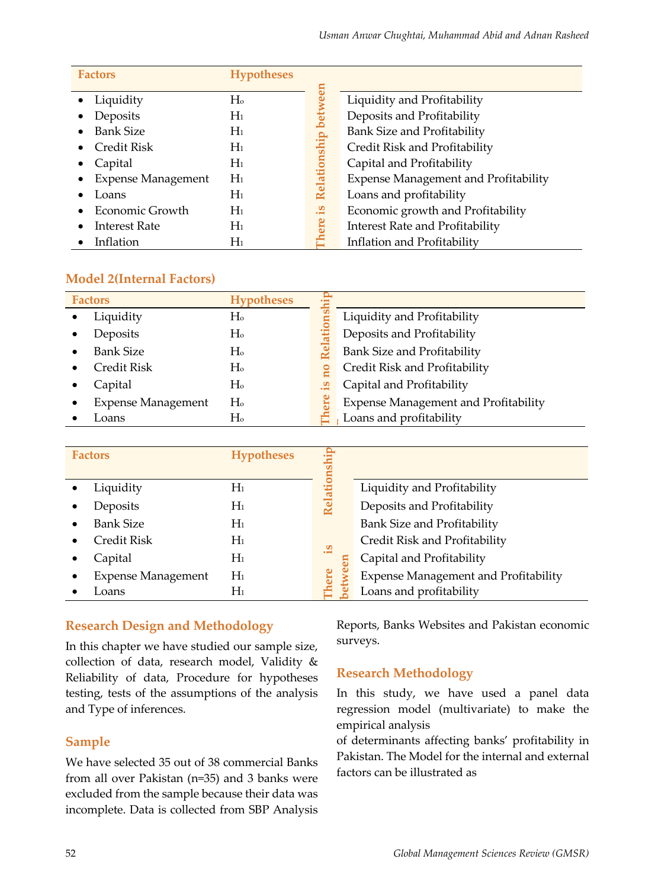| <b>Factors</b>            | <b>Hypotheses</b> |          |                                        |
|---------------------------|-------------------|----------|----------------------------------------|
| Liquidity                 | Ho                | 5        | Liquidity and Profitability            |
| Deposits                  | $\rm{H}_{1}$      |          | Deposits and Profitability             |
| <b>Bank Size</b>          | $\rm{H}_{1}$      |          | Bank Size and Profitability            |
| Credit Risk               | $\rm{H}_{1}$      | ship     | Credit Risk and Profitability          |
| Capital                   | $H_1$             |          | Capital and Profitability              |
| <b>Expense Management</b> | $H_1$             | Relation | Expense Management and Profitability   |
| Loans                     | $H_1$             |          | Loans and profitability                |
| Economic Growth           | $H_1$             | . ఇ      | Economic growth and Profitability      |
| <b>Interest Rate</b>      | $\rm{H}_{1}$      |          | <b>Interest Rate and Profitability</b> |
| Inflation                 | Hı                |          | Inflation and Profitability            |

#### **Model 2(Internal Factors)**

| <b>Factors</b>            | <b>Hypotheses</b> |           |                                             |
|---------------------------|-------------------|-----------|---------------------------------------------|
| Liquidity                 | H <sub>o</sub>    |           | Liquidity and Profitability                 |
| Deposits                  | H <sub>o</sub>    |           | Deposits and Profitability                  |
| <b>Bank Size</b>          | H <sub>o</sub>    |           | Bank Size and Profitability                 |
| Credit Risk               | H <sub>o</sub>    |           | Credit Risk and Profitability               |
| Capital                   | H <sub>o</sub>    | <u>يا</u> | Capital and Profitability                   |
| <b>Expense Management</b> | H <sub>o</sub>    |           | <b>Expense Management and Profitability</b> |
| Loans                     | Ho                |           | Loans and profitability                     |

| <b>Factors</b>            | <b>Hypotheses</b> |             |                                             |
|---------------------------|-------------------|-------------|---------------------------------------------|
| Liquidity                 | $\rm{H}_{1}$      |             | Liquidity and Profitability                 |
| Deposits                  | $\rm{H}_{1}$      |             | Deposits and Profitability                  |
| Bank Size                 | $H_1$             |             | Bank Size and Profitability                 |
| Credit Risk               | $H_1$             | <u>يا</u> . | Credit Risk and Profitability               |
| Capital                   | $\rm{H}_{1}$      |             | Capital and Profitability                   |
| <b>Expense Management</b> | $H_1$             | ere         | <b>Expense Management and Profitability</b> |
| Loans                     | Hı                |             | Loans and profitability                     |

#### **Research Design and Methodology**

In this chapter we have studied our sample size, collection of data, research model, Validity & Reliability of data, Procedure for hypotheses testing, tests of the assumptions of the analysis and Type of inferences.

#### **Sample**

We have selected 35 out of 38 commercial Banks from all over Pakistan (n=35) and 3 banks were excluded from the sample because their data was incomplete. Data is collected from SBP Analysis Reports, Banks Websites and Pakistan economic surveys.

#### **Research Methodology**

In this study, we have used a panel data regression model (multivariate) to make the empirical analysis

of determinants affecting banks' profitability in Pakistan. The Model for the internal and external factors can be illustrated as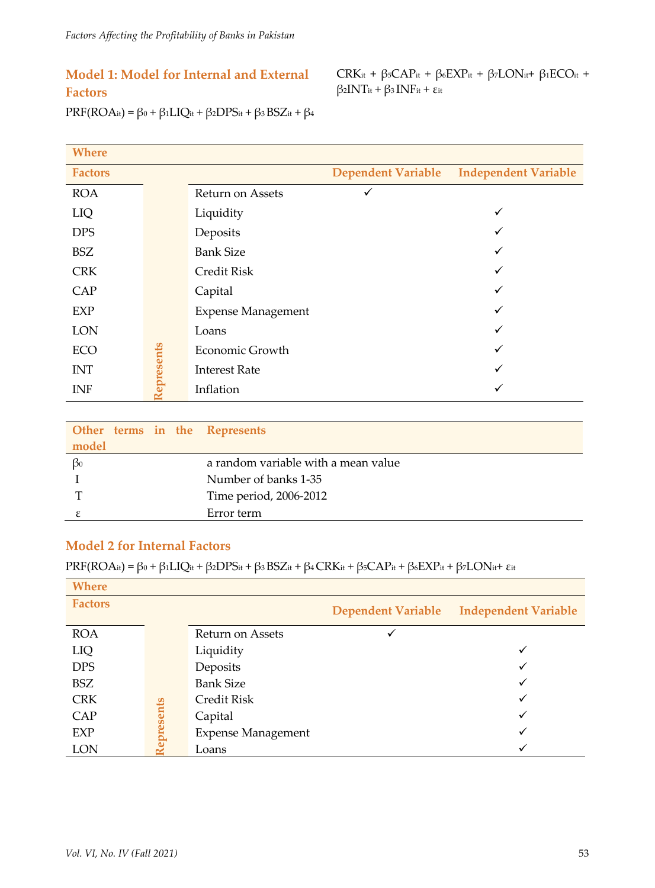## **Model 1: Model for Internal and External Factors**

CRK<sub>it</sub> + β<sub>5</sub>CAP<sub>it</sub> + β<sub>6</sub>EXP<sub>it</sub> + β<sub>7</sub>LON<sub>it</sub>+ β<sub>1</sub>ECO<sub>it</sub> + β2INTit + β3 INFit + εit

PRF(ROAit) =  $β_0 + β_1LIQ_{it} + β_2DPS_{it} + β_3 BSZ_{it} + β_4$ 

| <b>Where</b>   |           |                           |                           |                             |
|----------------|-----------|---------------------------|---------------------------|-----------------------------|
| <b>Factors</b> |           |                           | <b>Dependent Variable</b> | <b>Independent Variable</b> |
| <b>ROA</b>     |           | Return on Assets          |                           |                             |
| LIQ            |           | Liquidity                 |                           | ✓                           |
| <b>DPS</b>     |           | Deposits                  |                           |                             |
| <b>BSZ</b>     |           | <b>Bank Size</b>          |                           | ✓                           |
| <b>CRK</b>     |           | <b>Credit Risk</b>        |                           | v                           |
| CAP            |           | Capital                   |                           | ✓                           |
| EXP            |           | <b>Expense Management</b> |                           | ✓                           |
| <b>LON</b>     |           | Loans                     |                           | v                           |
| <b>ECO</b>     |           | Economic Growth           |                           | ✓                           |
| <b>INT</b>     | epresents | <b>Interest Rate</b>      |                           | √                           |
| <b>INF</b>     |           | Inflation                 |                           | v                           |
|                |           |                           |                           |                             |

|           |  | Other terms in the Represents       |
|-----------|--|-------------------------------------|
| model     |  |                                     |
| $\beta_0$ |  | a random variable with a mean value |
|           |  | Number of banks 1-35                |
| т         |  | Time period, 2006-2012              |
|           |  | Error term                          |

#### **Model 2 for Internal Factors**

PRF(ROAit) = β0 + β1LIQit + β2DPSit + β3 BSZit + β4 CRKit + β5CAPit + β6EXPit + β7LONit+ εit

| <b>Where</b>   |          |                           |                           |                             |
|----------------|----------|---------------------------|---------------------------|-----------------------------|
| <b>Factors</b> |          |                           | <b>Dependent Variable</b> | <b>Independent Variable</b> |
| <b>ROA</b>     |          | Return on Assets          | ✓                         |                             |
| LIQ            |          | Liquidity                 |                           |                             |
| <b>DPS</b>     |          | Deposits                  |                           |                             |
| BSZ            |          | <b>Bank Size</b>          |                           | ✓                           |
| <b>CRK</b>     |          | Credit Risk               |                           |                             |
| CAP            | presents | Capital                   |                           | ✓                           |
| EXP            |          | <b>Expense Management</b> |                           |                             |
| <b>LON</b>     |          | Loans                     |                           |                             |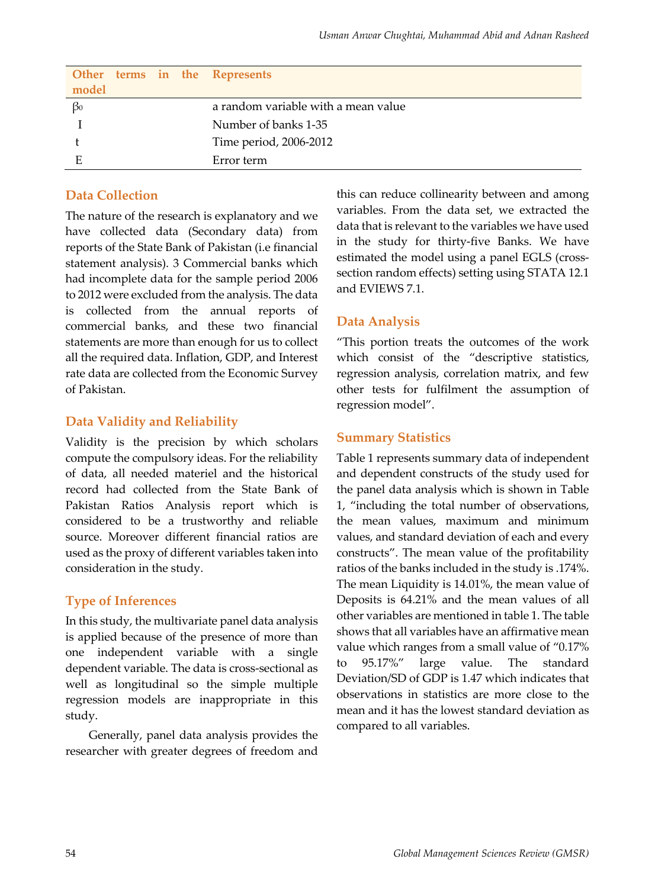|           |  | Other terms in the Represents       |
|-----------|--|-------------------------------------|
| model     |  |                                     |
| $\beta_0$ |  | a random variable with a mean value |
|           |  | Number of banks 1-35                |
|           |  | Time period, 2006-2012              |
| E         |  | Error term                          |

#### **Data Collection**

The nature of the research is explanatory and we have collected data (Secondary data) from reports of the State Bank of Pakistan (i.e financial statement analysis). 3 Commercial banks which had incomplete data for the sample period 2006 to 2012 were excluded from the analysis. The data is collected from the annual reports of commercial banks, and these two financial statements are more than enough for us to collect all the required data. Inflation, GDP, and Interest rate data are collected from the Economic Survey of Pakistan.

#### **Data Validity and Reliability**

Validity is the precision by which scholars compute the compulsory ideas. For the reliability of data, all needed materiel and the historical record had collected from the State Bank of Pakistan Ratios Analysis report which is considered to be a trustworthy and reliable source. Moreover different financial ratios are used as the proxy of different variables taken into consideration in the study.

#### **Type of Inferences**

In this study, the multivariate panel data analysis is applied because of the presence of more than one independent variable with a single dependent variable. The data is cross-sectional as well as longitudinal so the simple multiple regression models are inappropriate in this study.

Generally, panel data analysis provides the researcher with greater degrees of freedom and this can reduce collinearity between and among variables. From the data set, we extracted the data that is relevant to the variables we have used in the study for thirty-five Banks. We have estimated the model using a panel EGLS (crosssection random effects) setting using STATA 12.1 and EVIEWS 7.1.

#### **Data Analysis**

"This portion treats the outcomes of the work which consist of the "descriptive statistics, regression analysis, correlation matrix, and few other tests for fulfilment the assumption of regression model".

#### **Summary Statistics**

Table 1 represents summary data of independent and dependent constructs of the study used for the panel data analysis which is shown in Table 1, "including the total number of observations, the mean values, maximum and minimum values, and standard deviation of each and every constructs". The mean value of the profitability ratios of the banks included in the study is .174%. The mean Liquidity is 14.01%, the mean value of Deposits is 64.21% and the mean values of all other variables are mentioned in table 1. The table shows that all variables have an affirmative mean value which ranges from a small value of "0.17% to 95.17%" large value. The standard Deviation/SD of GDP is 1.47 which indicates that observations in statistics are more close to the mean and it has the lowest standard deviation as compared to all variables.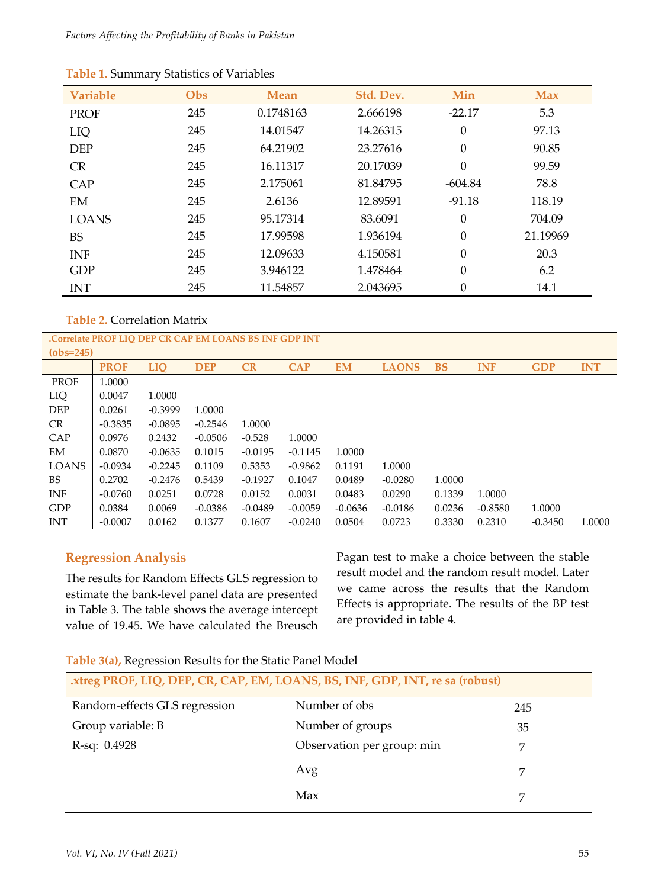| <b>Variable</b> | Obs | <b>Mean</b> | Std. Dev. | Min              | <b>Max</b> |
|-----------------|-----|-------------|-----------|------------------|------------|
| <b>PROF</b>     | 245 | 0.1748163   | 2.666198  | $-22.17$         | 5.3        |
| LIQ             | 245 | 14.01547    | 14.26315  | $\boldsymbol{0}$ | 97.13      |
| <b>DEP</b>      | 245 | 64.21902    | 23.27616  | $\boldsymbol{0}$ | 90.85      |
| <b>CR</b>       | 245 | 16.11317    | 20.17039  | $\boldsymbol{0}$ | 99.59      |
| CAP             | 245 | 2.175061    | 81.84795  | $-604.84$        | 78.8       |
| EM              | 245 | 2.6136      | 12.89591  | $-91.18$         | 118.19     |
| <b>LOANS</b>    | 245 | 95.17314    | 83.6091   | $\theta$         | 704.09     |
| <b>BS</b>       | 245 | 17.99598    | 1.936194  | $\overline{0}$   | 21.19969   |
| <b>INF</b>      | 245 | 12.09633    | 4.150581  | $\overline{0}$   | 20.3       |
| <b>GDP</b>      | 245 | 3.946122    | 1.478464  | $\overline{0}$   | 6.2        |
| <b>INT</b>      | 245 | 11.54857    | 2.043695  | 0                | 14.1       |

**Table 2.** Correlation Matrix

|              | .Correlate PROF LIO DEP CR CAP EM LOANS BS INF GDP INT |            |            |           |            |           |              |           |            |            |            |
|--------------|--------------------------------------------------------|------------|------------|-----------|------------|-----------|--------------|-----------|------------|------------|------------|
| $(obs=245)$  |                                                        |            |            |           |            |           |              |           |            |            |            |
|              | <b>PROF</b>                                            | <b>LIO</b> | <b>DEP</b> | CR        | <b>CAP</b> | EM        | <b>LAONS</b> | <b>BS</b> | <b>INF</b> | <b>GDP</b> | <b>INT</b> |
| <b>PROF</b>  | 1.0000                                                 |            |            |           |            |           |              |           |            |            |            |
| LIQ          | 0.0047                                                 | 1.0000     |            |           |            |           |              |           |            |            |            |
| <b>DEP</b>   | 0.0261                                                 | $-0.3999$  | 1.0000     |           |            |           |              |           |            |            |            |
| CR.          | $-0.3835$                                              | $-0.0895$  | $-0.2546$  | 1.0000    |            |           |              |           |            |            |            |
| CAP          | 0.0976                                                 | 0.2432     | $-0.0506$  | $-0.528$  | 1.0000     |           |              |           |            |            |            |
| EM           | 0.0870                                                 | $-0.0635$  | 0.1015     | $-0.0195$ | $-0.1145$  | 1.0000    |              |           |            |            |            |
| <b>LOANS</b> | $-0.0934$                                              | $-0.2245$  | 0.1109     | 0.5353    | $-0.9862$  | 0.1191    | 1.0000       |           |            |            |            |
| BS           | 0.2702                                                 | $-0.2476$  | 0.5439     | $-0.1927$ | 0.1047     | 0.0489    | $-0.0280$    | 1.0000    |            |            |            |
| <b>INF</b>   | $-0.0760$                                              | 0.0251     | 0.0728     | 0.0152    | 0.0031     | 0.0483    | 0.0290       | 0.1339    | 1.0000     |            |            |
| GDP          | 0.0384                                                 | 0.0069     | $-0.0386$  | $-0.0489$ | $-0.0059$  | $-0.0636$ | $-0.0186$    | 0.0236    | $-0.8580$  | 1.0000     |            |
| <b>INT</b>   | $-0.0007$                                              | 0.0162     | 0.1377     | 0.1607    | $-0.0240$  | 0.0504    | 0.0723       | 0.3330    | 0.2310     | $-0.3450$  | 1.0000     |

## **Regression Analysis**

The results for Random Effects GLS regression to estimate the bank-level panel data are presented in Table 3. The table shows the average intercept value of 19.45. We have calculated the Breusch Pagan test to make a choice between the stable result model and the random result model. Later we came across the results that the Random Effects is appropriate. The results of the BP test are provided in table 4.

**Table 3(a),** Regression Results for the Static Panel Model

| xtreg PROF, LIQ, DEP, CR, CAP, EM, LOANS, BS, INF, GDP, INT, re sa (robust) |                            |     |  |  |
|-----------------------------------------------------------------------------|----------------------------|-----|--|--|
| Random-effects GLS regression                                               | Number of obs              | 245 |  |  |
| Group variable: B                                                           | Number of groups           | 35  |  |  |
| $R$ -sq: $0.4928$                                                           | Observation per group: min |     |  |  |
|                                                                             | Avg                        |     |  |  |
|                                                                             | Max                        |     |  |  |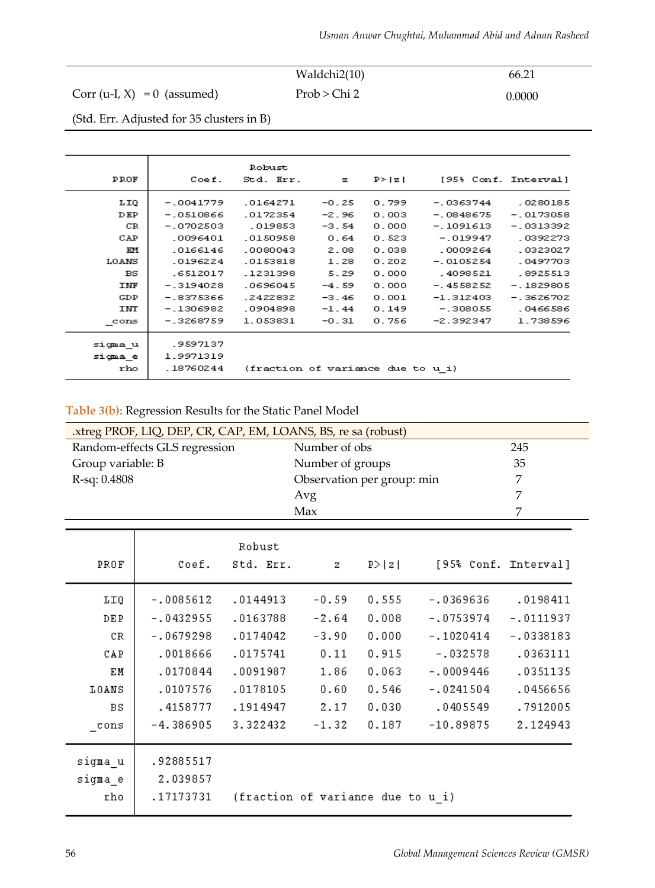|                                | Waldchi2(10) | 66.21  |
|--------------------------------|--------------|--------|
| Corr (u-I, $X$ ) = 0 (assumed) | Prob > Chi 2 | 0.0000 |

(Std. Err. Adjusted for 35 clusters in B)

| PROF       | Coef.       | Robust<br>Std. Err.               | $\mathbf{z}$ | $P \ge  z $ | [95% Conf. Interval] |             |
|------------|-------------|-----------------------------------|--------------|-------------|----------------------|-------------|
|            |             |                                   |              |             |                      |             |
| LIQ        | $-.0041779$ | .0164271                          | $-0.25$      | 0.799       | $-0.0363744$         | .0280185    |
| DEP        | $-0510866$  | .0172354                          | $-2.96$      | 0.003       | $-0848675$           | $-0173058$  |
| CR         | $-.0702503$ | .019853                           | $-3.54$      | 0.000       | -.1091613            | $-0313392$  |
| CAP        | .0096401    | .0150958                          | 0.64         | 0.523       | $-.019947$           | .0392273    |
| КH         | .0166146    | .0080043                          | 2.08         | 0.038       | .0009264             | .0323027    |
| LOANS      | .0196224    | .0153818                          | 1.28         | 0.202       | $-.0105254$          | .0497703    |
| $_{BS}$    | .6512017    | .1231398                          | 5.29         | 0.000       | .4098521             | .8925513    |
| <b>INF</b> | $-.3194028$ | .0696045                          | $-4.59$      | 0.000       | $-4558252$           | $-1829805$  |
| GDP        | $-18375366$ | .2422832                          | $-3.46$      | 0.001       | $-1.312403$          | $-13626702$ |
| INT        | $-1306982$  | .0904898                          | $-1.44$      | 0.149       | $-.308055$           | .0466586    |
| cons       | $-.3268759$ | 1.053831                          | $-0.31$      | 0.756       | $-2.392347$          | 1.738596    |
| sigma u    | .9597137    |                                   |              |             |                      |             |
|            | 1.9971319   |                                   |              |             |                      |             |
| sigma e    |             |                                   |              |             |                      |             |
| rho        | .18760244   | (fraction of variance due to u i) |              |             |                      |             |

| Table 3(b): Regression Results for the Static Panel Model |  |  |  |
|-----------------------------------------------------------|--|--|--|
|-----------------------------------------------------------|--|--|--|

| .xtreg PROF, LIQ, DEP, CR, CAP, EM, LOANS, BS, re sa (robust) |             |               |                                   |        |             |                      |
|---------------------------------------------------------------|-------------|---------------|-----------------------------------|--------|-------------|----------------------|
| Random-effects GLS regression                                 |             | Number of obs |                                   |        | 245         |                      |
| Group variable: B                                             |             |               | Number of groups                  |        |             | 35                   |
| R-sq: 0.4808                                                  |             |               | Observation per group: min        |        |             | 7                    |
|                                                               |             |               | Avg                               |        |             | 7                    |
|                                                               |             |               | Max                               |        |             | 7                    |
|                                                               |             | Robust        |                                   |        |             |                      |
| PROF                                                          | Coef.       | Std. Err.     | z                                 | P >  z |             | [95% Conf. Interval] |
| <b>LIQ</b>                                                    | $-.0085612$ | .0144913      | $-0.59$                           | 0.555  | $-0.369636$ | .0198411             |
| <b>DEP</b>                                                    | $-10432955$ | .0163788      | $-2.64$                           | 0.008  | $-0753974$  | $-.0111937$          |
| CR                                                            | $-.0679298$ | .0174042      | $-3.90$                           | 0.000  | $-.1020414$ | $-.0338183$          |
| CAP                                                           | .0018666    | .0175741      | 0.11                              | 0.915  | $-.032578$  | .0363111             |
| EM                                                            | .0170844    | .0091987      | 1.86                              | 0.063  | $-10009446$ | .0351135             |
|                                                               |             |               |                                   |        |             |                      |
| LOANS                                                         | .0107576    | .0178105      | 0.60                              | 0.546  | $-.0241504$ | .0456656             |
| <b>BS</b>                                                     | .4158777    | .1914947      | 2.17                              | 0.030  | .0405549    | .7912005             |
| cons                                                          | $-4.386905$ | 3.322432      | $-1.32$                           | 0.187  | $-10.89875$ | 2.124943             |
| sigma_u                                                       | .92885517   |               |                                   |        |             |                      |
| sigma e                                                       | 2.039857    |               |                                   |        |             |                      |
| rho                                                           | .17173731   |               | (fraction of variance due to u i) |        |             |                      |
|                                                               |             |               |                                   |        |             |                      |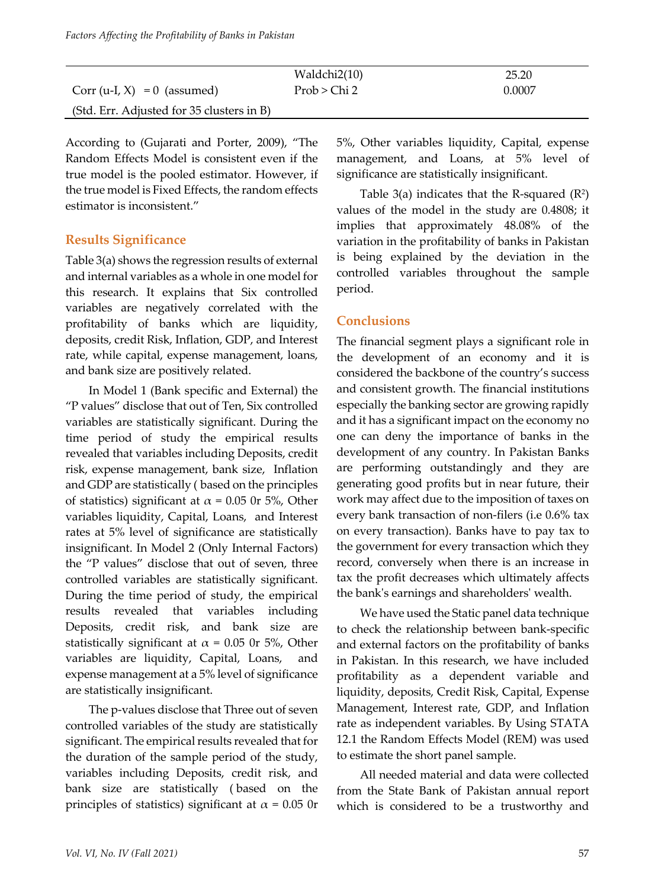|                                           | Waldchi2(10) | 25.20  |
|-------------------------------------------|--------------|--------|
| $Corr (u-I, X) = 0$ (assumed)             | Prob > Chi 2 | 0.0007 |
| (Std. Err. Adjusted for 35 clusters in B) |              |        |

According to (Gujarati and Porter, 2009), "The Random Effects Model is consistent even if the true model is the pooled estimator. However, if the true model is Fixed Effects, the random effects estimator is inconsistent."

#### **Results Significance**

Table 3(a) shows the regression results of external and internal variables as a whole in one model for this research. It explains that Six controlled variables are negatively correlated with the profitability of banks which are liquidity, deposits, credit Risk, Inflation, GDP, and Interest rate, while capital, expense management, loans, and bank size are positively related.

In Model 1 (Bank specific and External) the "P values" disclose that out of Ten, Six controlled variables are statistically significant. During the time period of study the empirical results revealed that variables including Deposits, credit risk, expense management, bank size, Inflation and GDP are statistically ( based on the principles of statistics) significant at  $\alpha$  = 0.05 0r 5%, Other variables liquidity, Capital, Loans, and Interest rates at 5% level of significance are statistically insignificant. In Model 2 (Only Internal Factors) the "P values" disclose that out of seven, three controlled variables are statistically significant. During the time period of study, the empirical results revealed that variables including Deposits, credit risk, and bank size are statistically significant at  $\alpha$  = 0.05 0r 5%, Other variables are liquidity, Capital, Loans, and expense management at a 5% level of significance are statistically insignificant.

The p-values disclose that Three out of seven controlled variables of the study are statistically significant. The empirical results revealed that for the duration of the sample period of the study, variables including Deposits, credit risk, and bank size are statistically ( based on the principles of statistics) significant at  $\alpha$  = 0.05 0r 5%, Other variables liquidity, Capital, expense management, and Loans, at 5% level of significance are statistically insignificant.

Table  $3(a)$  indicates that the R-squared  $(R<sup>2</sup>)$ values of the model in the study are 0.4808; it implies that approximately 48.08% of the variation in the profitability of banks in Pakistan is being explained by the deviation in the controlled variables throughout the sample period.

#### **Conclusions**

The financial segment plays a significant role in the development of an economy and it is considered the backbone of the country's success and consistent growth. The financial institutions especially the banking sector are growing rapidly and it has a significant impact on the economy no one can deny the importance of banks in the development of any country. In Pakistan Banks are performing outstandingly and they are generating good profits but in near future, their work may affect due to the imposition of taxes on every bank transaction of non-filers (i.e 0.6% tax on every transaction). Banks have to pay tax to the government for every transaction which they record, conversely when there is an increase in tax the profit decreases which ultimately affects the bank's earnings and shareholders' wealth.

We have used the Static panel data technique to check the relationship between bank-specific and external factors on the profitability of banks in Pakistan. In this research, we have included profitability as a dependent variable and liquidity, deposits, Credit Risk, Capital, Expense Management, Interest rate, GDP, and Inflation rate as independent variables. By Using STATA 12.1 the Random Effects Model (REM) was used to estimate the short panel sample.

All needed material and data were collected from the State Bank of Pakistan annual report which is considered to be a trustworthy and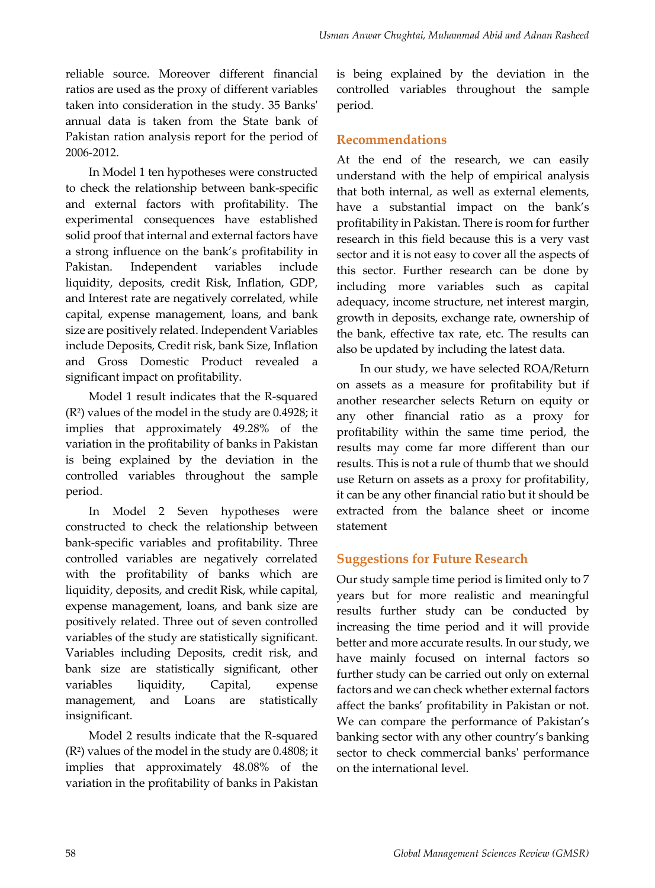reliable source. Moreover different financial ratios are used as the proxy of different variables taken into consideration in the study. 35 Banks' annual data is taken from the State bank of Pakistan ration analysis report for the period of 2006-2012.

In Model 1 ten hypotheses were constructed to check the relationship between bank-specific and external factors with profitability. The experimental consequences have established solid proof that internal and external factors have a strong influence on the bank's profitability in Pakistan. Independent variables include liquidity, deposits, credit Risk, Inflation, GDP, and Interest rate are negatively correlated, while capital, expense management, loans, and bank size are positively related. Independent Variables include Deposits, Credit risk, bank Size, Inflation and Gross Domestic Product revealed a significant impact on profitability.

Model 1 result indicates that the R-squared (R2) values of the model in the study are 0.4928; it implies that approximately 49.28% of the variation in the profitability of banks in Pakistan is being explained by the deviation in the controlled variables throughout the sample period.

In Model 2 Seven hypotheses were constructed to check the relationship between bank-specific variables and profitability. Three controlled variables are negatively correlated with the profitability of banks which are liquidity, deposits, and credit Risk, while capital, expense management, loans, and bank size are positively related. Three out of seven controlled variables of the study are statistically significant. Variables including Deposits, credit risk, and bank size are statistically significant, other variables liquidity, Capital, expense management, and Loans are statistically insignificant.

Model 2 results indicate that the R-squared (R2) values of the model in the study are 0.4808; it implies that approximately 48.08% of the variation in the profitability of banks in Pakistan is being explained by the deviation in the controlled variables throughout the sample period.

### **Recommendations**

At the end of the research, we can easily understand with the help of empirical analysis that both internal, as well as external elements, have a substantial impact on the bank's profitability in Pakistan. There is room for further research in this field because this is a very vast sector and it is not easy to cover all the aspects of this sector. Further research can be done by including more variables such as capital adequacy, income structure, net interest margin, growth in deposits, exchange rate, ownership of the bank, effective tax rate, etc. The results can also be updated by including the latest data.

In our study, we have selected ROA/Return on assets as a measure for profitability but if another researcher selects Return on equity or any other financial ratio as a proxy for profitability within the same time period, the results may come far more different than our results. This is not a rule of thumb that we should use Return on assets as a proxy for profitability, it can be any other financial ratio but it should be extracted from the balance sheet or income statement

## **Suggestions for Future Research**

Our study sample time period is limited only to 7 years but for more realistic and meaningful results further study can be conducted by increasing the time period and it will provide better and more accurate results. In our study, we have mainly focused on internal factors so further study can be carried out only on external factors and we can check whether external factors affect the banks' profitability in Pakistan or not. We can compare the performance of Pakistan's banking sector with any other country's banking sector to check commercial banks' performance on the international level.